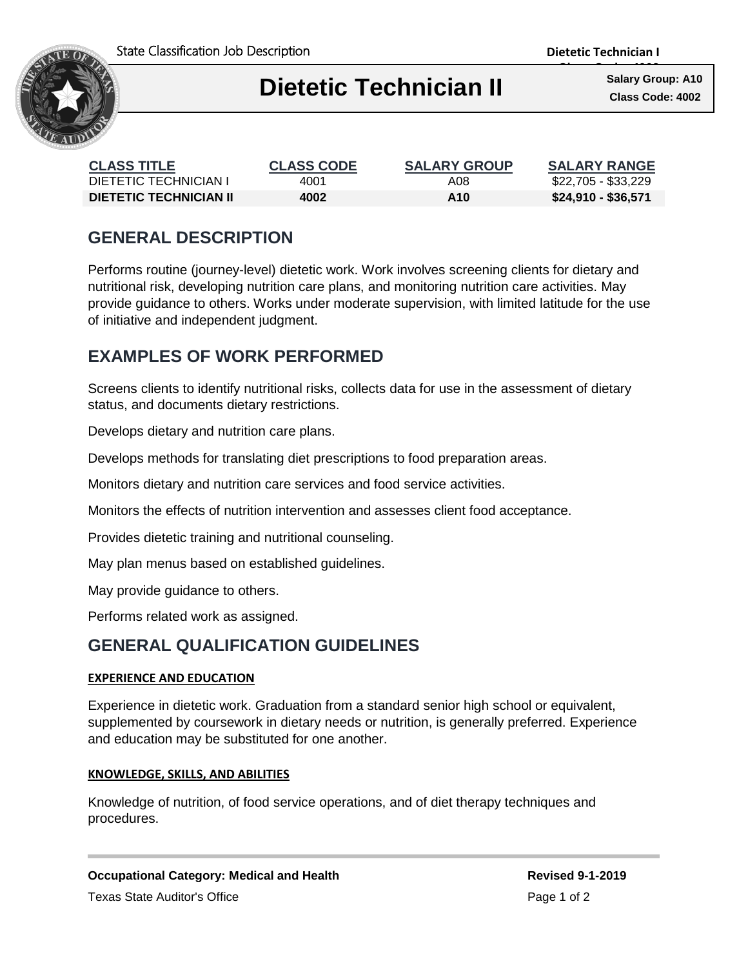



# **Dietetic Technician II Class Code: 4002**

**Class Code: 4002 Salary Group: A10**

| <b>CLASS TITLE</b>            | <b>CLASS CODE</b> | <b>SALARY GROUP</b> | <b>SALARY RANGE</b> |
|-------------------------------|-------------------|---------------------|---------------------|
| DIETETIC TECHNICIAN I         | 4001              | A08                 | \$22,705 - \$33,229 |
| <b>DIETETIC TECHNICIAN II</b> | 4002              | A10                 | \$24,910 - \$36,571 |

# **GENERAL DESCRIPTION**

Performs routine (journey-level) dietetic work. Work involves screening clients for dietary and nutritional risk, developing nutrition care plans, and monitoring nutrition care activities. May provide guidance to others. Works under moderate supervision, with limited latitude for the use of initiative and independent judgment.

# **EXAMPLES OF WORK PERFORMED**

Screens clients to identify nutritional risks, collects data for use in the assessment of dietary status, and documents dietary restrictions.

Develops dietary and nutrition care plans.

Develops methods for translating diet prescriptions to food preparation areas.

Ι

Monitors dietary and nutrition care services and food service activities.

Monitors the effects of nutrition intervention and assesses client food acceptance.

Provides dietetic training and nutritional counseling.

May plan menus based on established guidelines.

May provide guidance to others.

Performs related work as assigned.

## **GENERAL QUALIFICATION GUIDELINES**

### **EXPERIENCE AND EDUCATION**

Experience in dietetic work. Graduation from a standard senior high school or equivalent, supplemented by coursework in dietary needs or nutrition, is generally preferred. Experience and education may be substituted for one another.

#### **KNOWLEDGE, SKILLS, AND ABILITIES**

Knowledge of nutrition, of food service operations, and of diet therapy techniques and procedures.